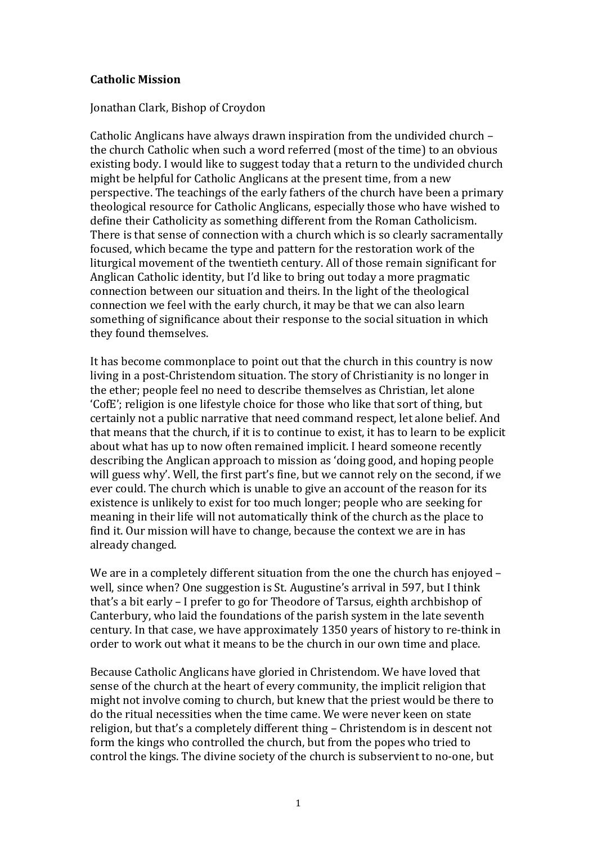## **Catholic Mission**

## Jonathan Clark, Bishop of Croydon

Catholic Anglicans have always drawn inspiration from the undivided church – the church Catholic when such a word referred (most of the time) to an obvious existing body. I would like to suggest today that a return to the undivided church might be helpful for Catholic Anglicans at the present time, from a new perspective. The teachings of the early fathers of the church have been a primary theological resource for Catholic Anglicans, especially those who have wished to define their Catholicity as something different from the Roman Catholicism. There is that sense of connection with a church which is so clearly sacramentally focused, which became the type and pattern for the restoration work of the liturgical movement of the twentieth century. All of those remain significant for Anglican Catholic identity, but I'd like to bring out today a more pragmatic connection between our situation and theirs. In the light of the theological connection we feel with the early church, it may be that we can also learn something of significance about their response to the social situation in which they found themselves.

It has become commonplace to point out that the church in this country is now living in a post-Christendom situation. The story of Christianity is no longer in the ether; people feel no need to describe themselves as Christian, let alone 'CofE'; religion is one lifestyle choice for those who like that sort of thing, but certainly not a public narrative that need command respect, let alone belief. And that means that the church, if it is to continue to exist, it has to learn to be explicit about what has up to now often remained implicit. I heard someone recently describing the Anglican approach to mission as 'doing good, and hoping people will guess why'. Well, the first part's fine, but we cannot rely on the second, if we ever could. The church which is unable to give an account of the reason for its existence is unlikely to exist for too much longer; people who are seeking for meaning in their life will not automatically think of the church as the place to find it. Our mission will have to change, because the context we are in has already changed.

We are in a completely different situation from the one the church has enjoyed – well, since when? One suggestion is St. Augustine's arrival in 597, but I think that's a bit early – I prefer to go for Theodore of Tarsus, eighth archbishop of Canterbury, who laid the foundations of the parish system in the late seventh century. In that case, we have approximately 1350 years of history to re-think in order to work out what it means to be the church in our own time and place.

Because Catholic Anglicans have gloried in Christendom. We have loved that sense of the church at the heart of every community, the implicit religion that might not involve coming to church, but knew that the priest would be there to do the ritual necessities when the time came. We were never keen on state religion, but that's a completely different thing – Christendom is in descent not form the kings who controlled the church, but from the popes who tried to control the kings. The divine society of the church is subservient to no-one, but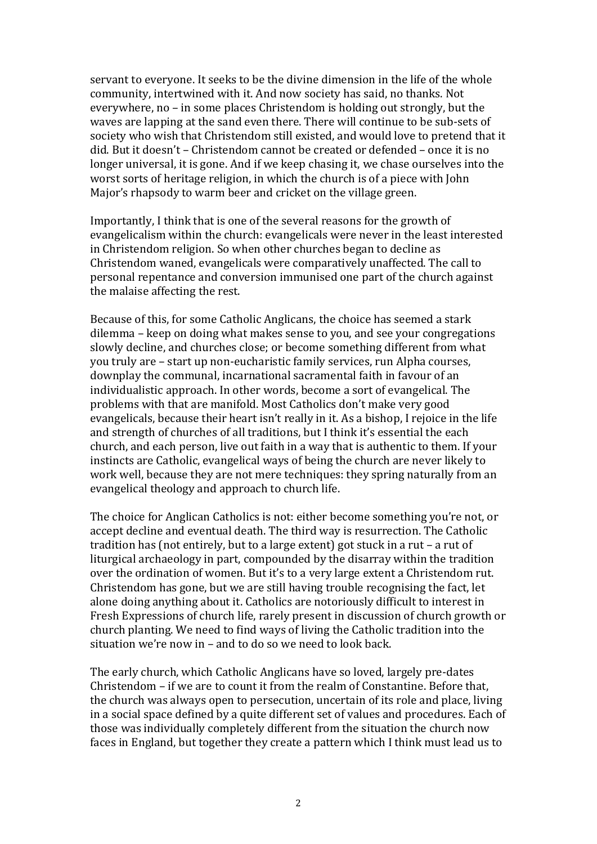servant to everyone. It seeks to be the divine dimension in the life of the whole community, intertwined with it. And now society has said, no thanks. Not everywhere, no – in some places Christendom is holding out strongly, but the waves are lapping at the sand even there. There will continue to be sub-sets of society who wish that Christendom still existed, and would love to pretend that it did. But it doesn't – Christendom cannot be created or defended – once it is no longer universal, it is gone. And if we keep chasing it, we chase ourselves into the worst sorts of heritage religion, in which the church is of a piece with John Major's rhapsody to warm beer and cricket on the village green.

Importantly, I think that is one of the several reasons for the growth of evangelicalism within the church: evangelicals were never in the least interested in Christendom religion. So when other churches began to decline as Christendom waned, evangelicals were comparatively unaffected. The call to personal repentance and conversion immunised one part of the church against the malaise affecting the rest.

Because of this, for some Catholic Anglicans, the choice has seemed a stark dilemma – keep on doing what makes sense to you, and see your congregations slowly decline, and churches close; or become something different from what you truly are – start up non-eucharistic family services, run Alpha courses, downplay the communal, incarnational sacramental faith in favour of an individualistic approach. In other words, become a sort of evangelical. The problems with that are manifold. Most Catholics don't make very good evangelicals, because their heart isn't really in it. As a bishop, I rejoice in the life and strength of churches of all traditions, but I think it's essential the each church, and each person, live out faith in a way that is authentic to them. If your instincts are Catholic, evangelical ways of being the church are never likely to work well, because they are not mere techniques: they spring naturally from an evangelical theology and approach to church life.

The choice for Anglican Catholics is not: either become something you're not, or accept decline and eventual death. The third way is resurrection. The Catholic tradition has (not entirely, but to a large extent) got stuck in a rut – a rut of liturgical archaeology in part, compounded by the disarray within the tradition over the ordination of women. But it's to a very large extent a Christendom rut. Christendom has gone, but we are still having trouble recognising the fact, let alone doing anything about it. Catholics are notoriously difficult to interest in Fresh Expressions of church life, rarely present in discussion of church growth or church planting. We need to find ways of living the Catholic tradition into the situation we're now in – and to do so we need to look back.

The early church, which Catholic Anglicans have so loved, largely pre-dates Christendom – if we are to count it from the realm of Constantine. Before that, the church was always open to persecution, uncertain of its role and place, living in a social space defined by a quite different set of values and procedures. Each of those was individually completely different from the situation the church now faces in England, but together they create a pattern which I think must lead us to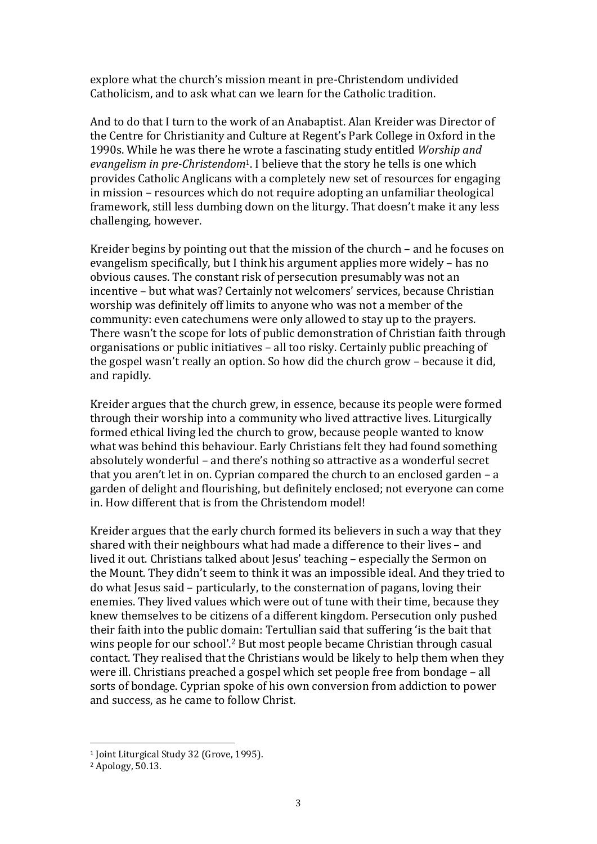explore what the church's mission meant in pre-Christendom undivided Catholicism, and to ask what can we learn for the Catholic tradition.

And to do that I turn to the work of an Anabaptist. Alan Kreider was Director of the Centre for Christianity and Culture at Regent's Park College in Oxford in the 1990s. While he was there he wrote a fascinating study entitled *Worship and evangelism in pre-Christendom*1. I believe that the story he tells is one which provides Catholic Anglicans with a completely new set of resources for engaging in mission – resources which do not require adopting an unfamiliar theological framework, still less dumbing down on the liturgy. That doesn't make it any less challenging, however.

Kreider begins by pointing out that the mission of the church – and he focuses on evangelism specifically, but I think his argument applies more widely – has no obvious causes. The constant risk of persecution presumably was not an incentive – but what was? Certainly not welcomers' services, because Christian worship was definitely off limits to anyone who was not a member of the community: even catechumens were only allowed to stay up to the prayers. There wasn't the scope for lots of public demonstration of Christian faith through organisations or public initiatives – all too risky. Certainly public preaching of the gospel wasn't really an option. So how did the church grow – because it did, and rapidly.

Kreider argues that the church grew, in essence, because its people were formed through their worship into a community who lived attractive lives. Liturgically formed ethical living led the church to grow, because people wanted to know what was behind this behaviour. Early Christians felt they had found something absolutely wonderful – and there's nothing so attractive as a wonderful secret that you aren't let in on. Cyprian compared the church to an enclosed garden – a garden of delight and flourishing, but definitely enclosed; not everyone can come in. How different that is from the Christendom model!

Kreider argues that the early church formed its believers in such a way that they shared with their neighbours what had made a difference to their lives – and lived it out. Christians talked about Jesus' teaching – especially the Sermon on the Mount. They didn't seem to think it was an impossible ideal. And they tried to do what Jesus said – particularly, to the consternation of pagans, loving their enemies. They lived values which were out of tune with their time, because they knew themselves to be citizens of a different kingdom. Persecution only pushed their faith into the public domain: Tertullian said that suffering 'is the bait that wins people for our school'.2 But most people became Christian through casual contact. They realised that the Christians would be likely to help them when they were ill. Christians preached a gospel which set people free from bondage – all sorts of bondage. Cyprian spoke of his own conversion from addiction to power and success, as he came to follow Christ.

<sup>&</sup>lt;sup>1</sup> Joint Liturgical Study 32 (Grove, 1995).

<sup>2</sup> Apology, 50.13.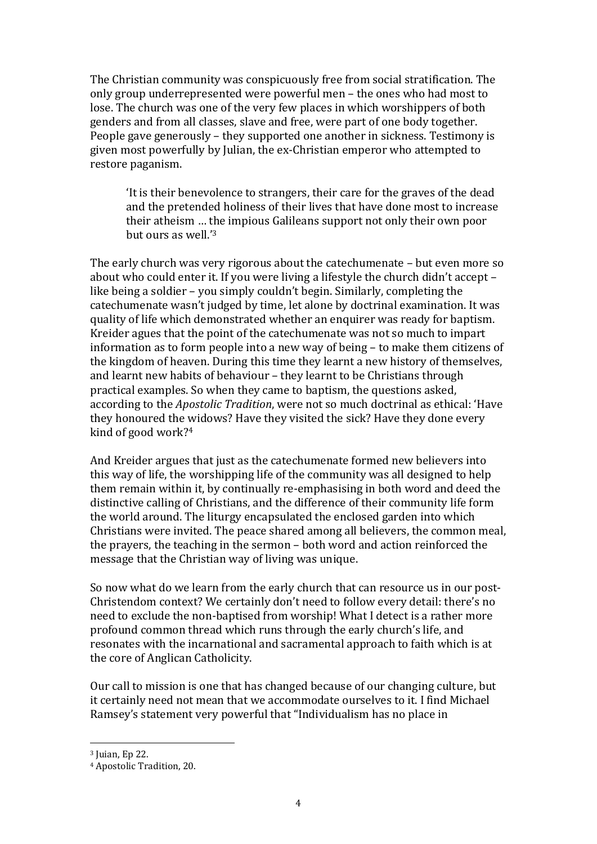The Christian community was conspicuously free from social stratification. The only group underrepresented were powerful men – the ones who had most to lose. The church was one of the very few places in which worshippers of both genders and from all classes, slave and free, were part of one body together. People gave generously – they supported one another in sickness. Testimony is given most powerfully by Julian, the ex-Christian emperor who attempted to restore paganism.

'It is their benevolence to strangers, their care for the graves of the dead and the pretended holiness of their lives that have done most to increase their atheism … the impious Galileans support not only their own poor but ours as well.'3

The early church was very rigorous about the catechumenate – but even more so about who could enter it. If you were living a lifestyle the church didn't accept – like being a soldier – you simply couldn't begin. Similarly, completing the catechumenate wasn't judged by time, let alone by doctrinal examination. It was quality of life which demonstrated whether an enquirer was ready for baptism. Kreider agues that the point of the catechumenate was not so much to impart information as to form people into a new way of being – to make them citizens of the kingdom of heaven. During this time they learnt a new history of themselves, and learnt new habits of behaviour – they learnt to be Christians through practical examples. So when they came to baptism, the questions asked, according to the *Apostolic Tradition*, were not so much doctrinal as ethical: 'Have they honoured the widows? Have they visited the sick? Have they done every kind of good work?4

And Kreider argues that just as the catechumenate formed new believers into this way of life, the worshipping life of the community was all designed to help them remain within it, by continually re-emphasising in both word and deed the distinctive calling of Christians, and the difference of their community life form the world around. The liturgy encapsulated the enclosed garden into which Christians were invited. The peace shared among all believers, the common meal, the prayers, the teaching in the sermon – both word and action reinforced the message that the Christian way of living was unique.

So now what do we learn from the early church that can resource us in our post-Christendom context? We certainly don't need to follow every detail: there's no need to exclude the non-baptised from worship! What I detect is a rather more profound common thread which runs through the early church's life, and resonates with the incarnational and sacramental approach to faith which is at the core of Anglican Catholicity.

Our call to mission is one that has changed because of our changing culture, but it certainly need not mean that we accommodate ourselves to it. I find Michael Ramsey's statement very powerful that "Individualism has no place in

 <sup>3</sup> Juian, Ep 22.

<sup>4</sup> Apostolic Tradition, 20.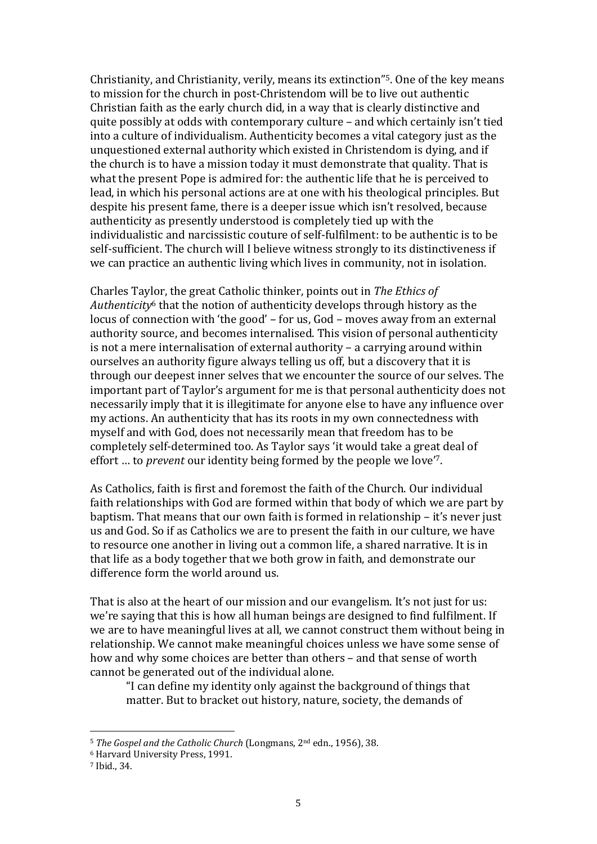Christianity, and Christianity, verily, means its extinction"5. One of the key means to mission for the church in post-Christendom will be to live out authentic Christian faith as the early church did, in a way that is clearly distinctive and quite possibly at odds with contemporary culture – and which certainly isn't tied into a culture of individualism. Authenticity becomes a vital category just as the unquestioned external authority which existed in Christendom is dying, and if the church is to have a mission today it must demonstrate that quality. That is what the present Pope is admired for: the authentic life that he is perceived to lead, in which his personal actions are at one with his theological principles. But despite his present fame, there is a deeper issue which isn't resolved, because authenticity as presently understood is completely tied up with the individualistic and narcissistic couture of self-fulfilment: to be authentic is to be self-sufficient. The church will I believe witness strongly to its distinctiveness if we can practice an authentic living which lives in community, not in isolation.

Charles Taylor, the great Catholic thinker, points out in *The Ethics of Authenticity*<sup>6</sup> that the notion of authenticity develops through history as the locus of connection with 'the good' – for us, God – moves away from an external authority source, and becomes internalised. This vision of personal authenticity is not a mere internalisation of external authority – a carrying around within ourselves an authority figure always telling us off, but a discovery that it is through our deepest inner selves that we encounter the source of our selves. The important part of Taylor's argument for me is that personal authenticity does not necessarily imply that it is illegitimate for anyone else to have any influence over my actions. An authenticity that has its roots in my own connectedness with myself and with God, does not necessarily mean that freedom has to be completely self-determined too. As Taylor says 'it would take a great deal of effort … to *prevent* our identity being formed by the people we love'7.

As Catholics, faith is first and foremost the faith of the Church. Our individual faith relationships with God are formed within that body of which we are part by baptism. That means that our own faith is formed in relationship – it's never just us and God. So if as Catholics we are to present the faith in our culture, we have to resource one another in living out a common life, a shared narrative. It is in that life as a body together that we both grow in faith, and demonstrate our difference form the world around us.

That is also at the heart of our mission and our evangelism. It's not just for us: we're saying that this is how all human beings are designed to find fulfilment. If we are to have meaningful lives at all, we cannot construct them without being in relationship. We cannot make meaningful choices unless we have some sense of how and why some choices are better than others – and that sense of worth cannot be generated out of the individual alone.

"I can define my identity only against the background of things that matter. But to bracket out history, nature, society, the demands of

 <sup>5</sup> *The Gospel and the Catholic Church* (Longmans, 2nd edn., 1956), 38.

<sup>6</sup> Harvard University Press, 1991.

<sup>7</sup> Ibid., 34.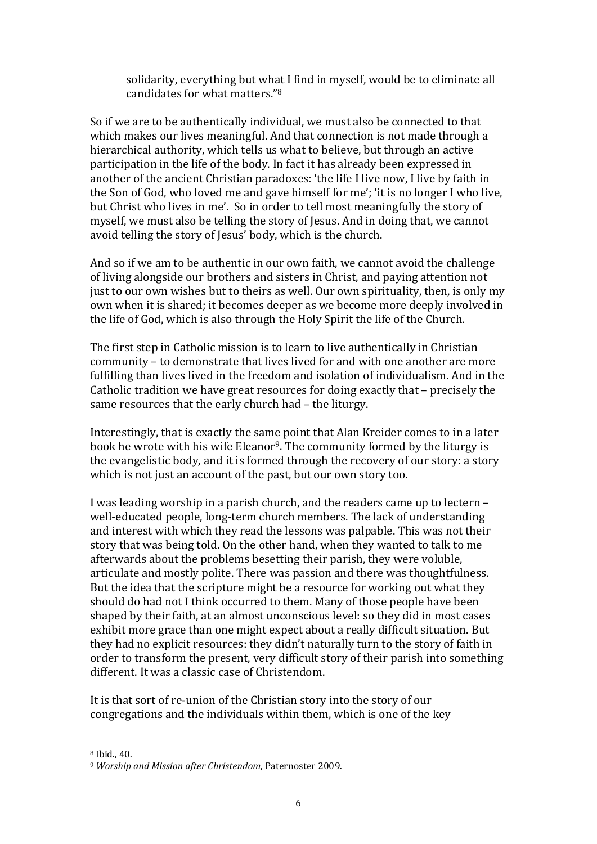solidarity, everything but what I find in myself, would be to eliminate all candidates for what matters."8

So if we are to be authentically individual, we must also be connected to that which makes our lives meaningful. And that connection is not made through a hierarchical authority, which tells us what to believe, but through an active participation in the life of the body. In fact it has already been expressed in another of the ancient Christian paradoxes: 'the life I live now, I live by faith in the Son of God, who loved me and gave himself for me'; 'it is no longer I who live, but Christ who lives in me'. So in order to tell most meaningfully the story of myself, we must also be telling the story of Jesus. And in doing that, we cannot avoid telling the story of Jesus' body, which is the church.

And so if we am to be authentic in our own faith, we cannot avoid the challenge of living alongside our brothers and sisters in Christ, and paying attention not just to our own wishes but to theirs as well. Our own spirituality, then, is only my own when it is shared; it becomes deeper as we become more deeply involved in the life of God, which is also through the Holy Spirit the life of the Church.

The first step in Catholic mission is to learn to live authentically in Christian community – to demonstrate that lives lived for and with one another are more fulfilling than lives lived in the freedom and isolation of individualism. And in the Catholic tradition we have great resources for doing exactly that – precisely the same resources that the early church had – the liturgy.

Interestingly, that is exactly the same point that Alan Kreider comes to in a later book he wrote with his wife Eleanor<sup>9</sup>. The community formed by the liturgy is the evangelistic body, and it is formed through the recovery of our story: a story which is not just an account of the past, but our own story too.

I was leading worship in a parish church, and the readers came up to lectern – well-educated people, long-term church members. The lack of understanding and interest with which they read the lessons was palpable. This was not their story that was being told. On the other hand, when they wanted to talk to me afterwards about the problems besetting their parish, they were voluble, articulate and mostly polite. There was passion and there was thoughtfulness. But the idea that the scripture might be a resource for working out what they should do had not I think occurred to them. Many of those people have been shaped by their faith, at an almost unconscious level: so they did in most cases exhibit more grace than one might expect about a really difficult situation. But they had no explicit resources: they didn't naturally turn to the story of faith in order to transform the present, very difficult story of their parish into something different. It was a classic case of Christendom.

It is that sort of re-union of the Christian story into the story of our congregations and the individuals within them, which is one of the key

 $8$  Ihid., 40.

<sup>9</sup> *Worship and Mission after Christendom*, Paternoster 2009.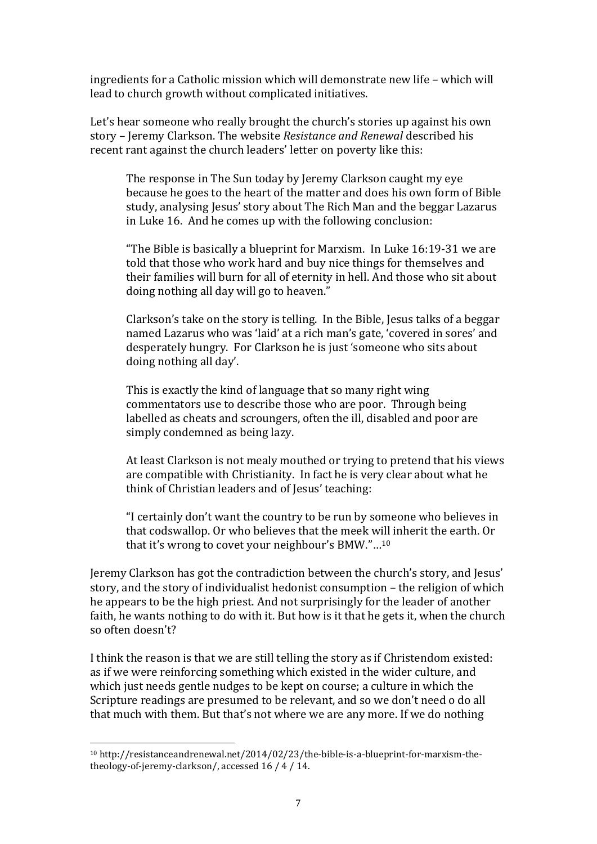ingredients for a Catholic mission which will demonstrate new life – which will lead to church growth without complicated initiatives.

Let's hear someone who really brought the church's stories up against his own story – Jeremy Clarkson. The website *Resistance and Renewal* described his recent rant against the church leaders' letter on poverty like this:

The response in The Sun today by Jeremy Clarkson caught my eye because he goes to the heart of the matter and does his own form of Bible study, analysing Jesus' story about The Rich Man and the beggar Lazarus in Luke 16. And he comes up with the following conclusion:

"The Bible is basically a blueprint for Marxism. In Luke 16:19-31 we are told that those who work hard and buy nice things for themselves and their families will burn for all of eternity in hell. And those who sit about doing nothing all day will go to heaven."

Clarkson's take on the story is telling. In the Bible, Jesus talks of a beggar named Lazarus who was 'laid' at a rich man's gate, 'covered in sores' and desperately hungry. For Clarkson he is just 'someone who sits about doing nothing all day'.

This is exactly the kind of language that so many right wing commentators use to describe those who are poor. Through being labelled as cheats and scroungers, often the ill, disabled and poor are simply condemned as being lazy.

At least Clarkson is not mealy mouthed or trying to pretend that his views are compatible with Christianity. In fact he is very clear about what he think of Christian leaders and of Jesus' teaching:

"I certainly don't want the country to be run by someone who believes in that codswallop. Or who believes that the meek will inherit the earth. Or that it's wrong to covet your neighbour's BMW."…10

Jeremy Clarkson has got the contradiction between the church's story, and Jesus' story, and the story of individualist hedonist consumption – the religion of which he appears to be the high priest. And not surprisingly for the leader of another faith, he wants nothing to do with it. But how is it that he gets it, when the church so often doesn't?

I think the reason is that we are still telling the story as if Christendom existed: as if we were reinforcing something which existed in the wider culture, and which just needs gentle nudges to be kept on course; a culture in which the Scripture readings are presumed to be relevant, and so we don't need o do all that much with them. But that's not where we are any more. If we do nothing

 <sup>10</sup> http://resistanceandrenewal.net/2014/02/23/the-bible-is-a-blueprint-for-marxism-thetheology-of-jeremy-clarkson/, accessed 16 / 4 / 14.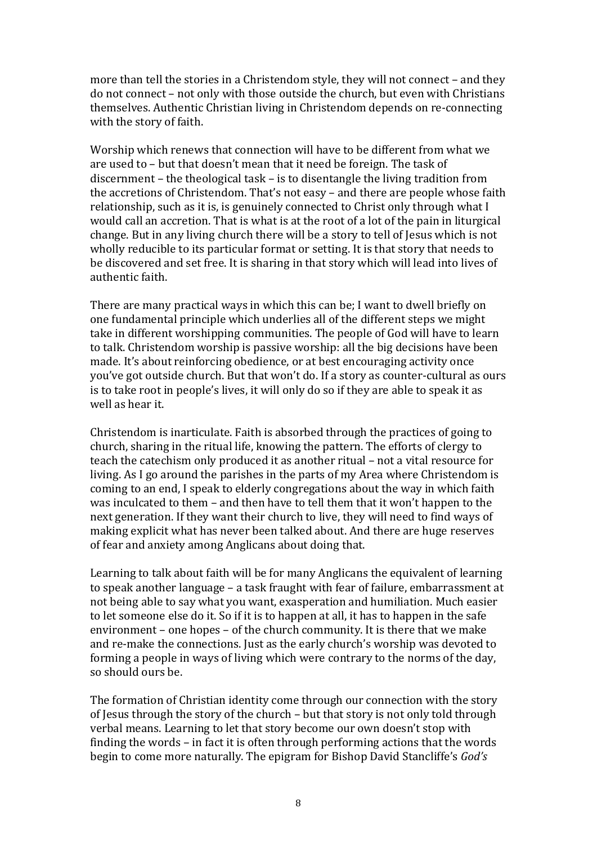more than tell the stories in a Christendom style, they will not connect – and they do not connect – not only with those outside the church, but even with Christians themselves. Authentic Christian living in Christendom depends on re-connecting with the story of faith.

Worship which renews that connection will have to be different from what we are used to – but that doesn't mean that it need be foreign. The task of discernment – the theological task – is to disentangle the living tradition from the accretions of Christendom. That's not easy – and there are people whose faith relationship, such as it is, is genuinely connected to Christ only through what I would call an accretion. That is what is at the root of a lot of the pain in liturgical change. But in any living church there will be a story to tell of Jesus which is not wholly reducible to its particular format or setting. It is that story that needs to be discovered and set free. It is sharing in that story which will lead into lives of authentic faith.

There are many practical ways in which this can be; I want to dwell briefly on one fundamental principle which underlies all of the different steps we might take in different worshipping communities. The people of God will have to learn to talk. Christendom worship is passive worship: all the big decisions have been made. It's about reinforcing obedience, or at best encouraging activity once you've got outside church. But that won't do. If a story as counter-cultural as ours is to take root in people's lives, it will only do so if they are able to speak it as well as hear it.

Christendom is inarticulate. Faith is absorbed through the practices of going to church, sharing in the ritual life, knowing the pattern. The efforts of clergy to teach the catechism only produced it as another ritual – not a vital resource for living. As I go around the parishes in the parts of my Area where Christendom is coming to an end, I speak to elderly congregations about the way in which faith was inculcated to them – and then have to tell them that it won't happen to the next generation. If they want their church to live, they will need to find ways of making explicit what has never been talked about. And there are huge reserves of fear and anxiety among Anglicans about doing that.

Learning to talk about faith will be for many Anglicans the equivalent of learning to speak another language – a task fraught with fear of failure, embarrassment at not being able to say what you want, exasperation and humiliation. Much easier to let someone else do it. So if it is to happen at all, it has to happen in the safe environment – one hopes – of the church community. It is there that we make and re-make the connections. Just as the early church's worship was devoted to forming a people in ways of living which were contrary to the norms of the day, so should ours be.

The formation of Christian identity come through our connection with the story of Jesus through the story of the church – but that story is not only told through verbal means. Learning to let that story become our own doesn't stop with finding the words – in fact it is often through performing actions that the words begin to come more naturally. The epigram for Bishop David Stancliffe's *God's*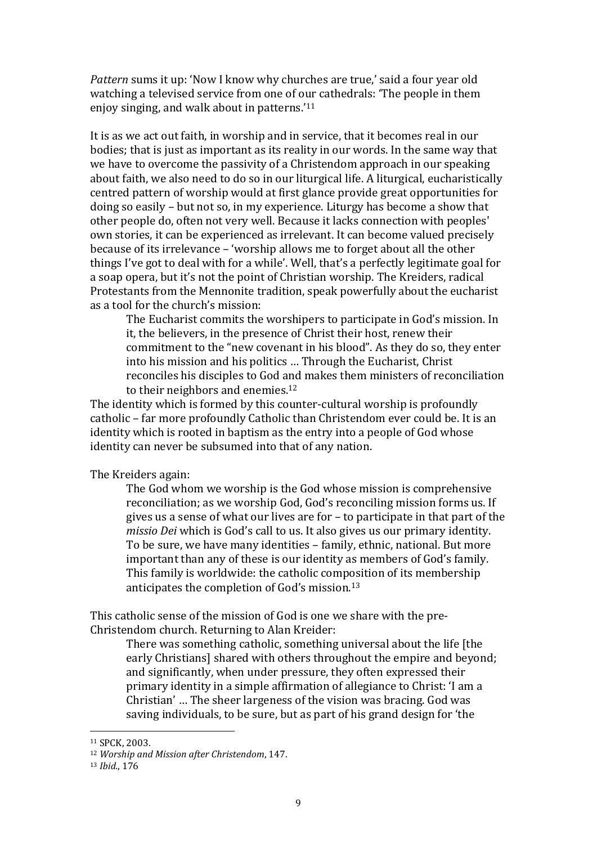*Pattern* sums it up: 'Now I know why churches are true,' said a four year old watching a televised service from one of our cathedrals: 'The people in them enjoy singing, and walk about in patterns.'11

It is as we act out faith, in worship and in service, that it becomes real in our bodies; that is just as important as its reality in our words. In the same way that we have to overcome the passivity of a Christendom approach in our speaking about faith, we also need to do so in our liturgical life. A liturgical, eucharistically centred pattern of worship would at first glance provide great opportunities for doing so easily – but not so, in my experience. Liturgy has become a show that other people do, often not very well. Because it lacks connection with peoples' own stories, it can be experienced as irrelevant. It can become valued precisely because of its irrelevance – 'worship allows me to forget about all the other things I've got to deal with for a while'. Well, that's a perfectly legitimate goal for a soap opera, but it's not the point of Christian worship. The Kreiders, radical Protestants from the Mennonite tradition, speak powerfully about the eucharist as a tool for the church's mission:

The Eucharist commits the worshipers to participate in God's mission. In it, the believers, in the presence of Christ their host, renew their commitment to the "new covenant in his blood". As they do so, they enter into his mission and his politics … Through the Eucharist, Christ reconciles his disciples to God and makes them ministers of reconciliation to their neighbors and enemies.<sup>12</sup>

The identity which is formed by this counter-cultural worship is profoundly catholic – far more profoundly Catholic than Christendom ever could be. It is an identity which is rooted in baptism as the entry into a people of God whose identity can never be subsumed into that of any nation.

The Kreiders again:

The God whom we worship is the God whose mission is comprehensive reconciliation; as we worship God, God's reconciling mission forms us. If gives us a sense of what our lives are for – to participate in that part of the *missio Dei* which is God's call to us. It also gives us our primary identity. To be sure, we have many identities – family, ethnic, national. But more important than any of these is our identity as members of God's family. This family is worldwide: the catholic composition of its membership anticipates the completion of God's mission.13

This catholic sense of the mission of God is one we share with the pre-Christendom church. Returning to Alan Kreider:

There was something catholic, something universal about the life [the early Christians] shared with others throughout the empire and beyond; and significantly, when under pressure, they often expressed their primary identity in a simple affirmation of allegiance to Christ: 'I am a Christian' … The sheer largeness of the vision was bracing. God was saving individuals, to be sure, but as part of his grand design for 'the

 <sup>11</sup> SPCK, 2003.

<sup>12</sup> *Worship and Mission after Christendom*, 147.

<sup>13</sup> *Ibid.*, 176